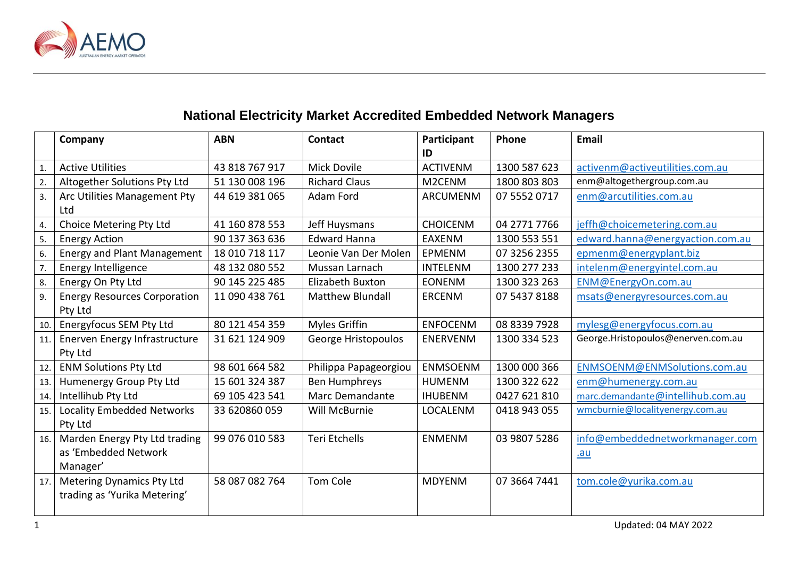

## **National Electricity Market Accredited Embedded Network Managers**

|     | Company                             | <b>ABN</b>     | <b>Contact</b>          | Participant     | Phone        | <b>Email</b>                       |
|-----|-------------------------------------|----------------|-------------------------|-----------------|--------------|------------------------------------|
|     |                                     |                |                         | ID              |              |                                    |
|     | <b>Active Utilities</b>             | 43 818 767 917 | <b>Mick Dovile</b>      | <b>ACTIVENM</b> | 1300 587 623 | activenm@activeutilities.com.au    |
| 2.  | Altogether Solutions Pty Ltd        | 51 130 008 196 | <b>Richard Claus</b>    | M2CENM          | 1800 803 803 | enm@altogethergroup.com.au         |
| 3.  | Arc Utilities Management Pty        | 44 619 381 065 | Adam Ford               | ARCUMENM        | 07 5552 0717 | enm@arcutilities.com.au            |
|     | Ltd                                 |                |                         |                 |              |                                    |
| 4.  | Choice Metering Pty Ltd             | 41 160 878 553 | Jeff Huysmans           | <b>CHOICENM</b> | 04 2771 7766 | jeffh@choicemetering.com.au        |
| 5.  | <b>Energy Action</b>                | 90 137 363 636 | <b>Edward Hanna</b>     | <b>EAXENM</b>   | 1300 553 551 | edward.hanna@energyaction.com.au   |
| 6.  | <b>Energy and Plant Management</b>  | 18 010 718 117 | Leonie Van Der Molen    | EPMENM          | 07 3256 2355 | epmenm@energyplant.biz             |
| 7.  | Energy Intelligence                 | 48 132 080 552 | Mussan Larnach          | <b>INTELENM</b> | 1300 277 233 | intelenm@energyintel.com.au        |
| 8.  | Energy On Pty Ltd                   | 90 145 225 485 | <b>Elizabeth Buxton</b> | <b>EONENM</b>   | 1300 323 263 | ENM@EnergyOn.com.au                |
| 9.  | <b>Energy Resources Corporation</b> | 11 090 438 761 | <b>Matthew Blundall</b> | <b>ERCENM</b>   | 07 5437 8188 | msats@energyresources.com.au       |
|     | Pty Ltd                             |                |                         |                 |              |                                    |
| 10. | <b>Energyfocus SEM Pty Ltd</b>      | 80 121 454 359 | Myles Griffin           | <b>ENFOCENM</b> | 08 8339 7928 | mylesg@energyfocus.com.au          |
| 11. | Enerven Energy Infrastructure       | 31 621 124 909 | George Hristopoulos     | <b>ENERVENM</b> | 1300 334 523 | George.Hristopoulos@enerven.com.au |
|     | Pty Ltd                             |                |                         |                 |              |                                    |
| 12. | <b>ENM Solutions Pty Ltd</b>        | 98 601 664 582 | Philippa Papageorgiou   | <b>ENMSOENM</b> | 1300 000 366 | ENMSOENM@ENMSolutions.com.au       |
| 13. | Humenergy Group Pty Ltd             | 15 601 324 387 | Ben Humphreys           | <b>HUMENM</b>   | 1300 322 622 | enm@humenergy.com.au               |
| 14. | Intellihub Pty Ltd                  | 69 105 423 541 | Marc Demandante         | <b>IHUBENM</b>  | 0427 621 810 | marc.demandante@intellihub.com.au  |
| 15. | Locality Embedded Networks          | 33 620860 059  | Will McBurnie           | LOCALENM        | 0418 943 055 | wmcburnie@localityenergy.com.au    |
|     | Pty Ltd                             |                |                         |                 |              |                                    |
| 16. | Marden Energy Pty Ltd trading       | 99 076 010 583 | Teri Etchells           | <b>ENMENM</b>   | 03 9807 5286 | info@embeddednetworkmanager.com    |
|     | as 'Embedded Network                |                |                         |                 |              | .au                                |
|     | Manager'                            |                |                         |                 |              |                                    |
| 17. | <b>Metering Dynamics Pty Ltd</b>    | 58 087 082 764 | <b>Tom Cole</b>         | <b>MDYENM</b>   | 07 3664 7441 | tom.cole@yurika.com.au             |
|     | trading as 'Yurika Metering'        |                |                         |                 |              |                                    |
|     |                                     |                |                         |                 |              |                                    |